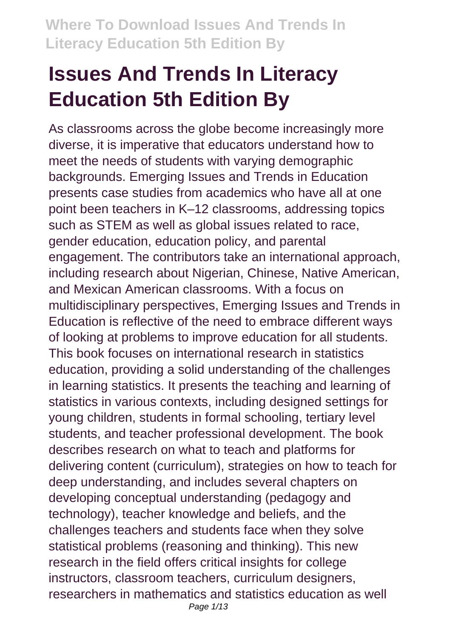# **Issues And Trends In Literacy Education 5th Edition By**

As classrooms across the globe become increasingly more diverse, it is imperative that educators understand how to meet the needs of students with varying demographic backgrounds. Emerging Issues and Trends in Education presents case studies from academics who have all at one point been teachers in K–12 classrooms, addressing topics such as STEM as well as global issues related to race, gender education, education policy, and parental engagement. The contributors take an international approach, including research about Nigerian, Chinese, Native American, and Mexican American classrooms. With a focus on multidisciplinary perspectives, Emerging Issues and Trends in Education is reflective of the need to embrace different ways of looking at problems to improve education for all students. This book focuses on international research in statistics education, providing a solid understanding of the challenges in learning statistics. It presents the teaching and learning of statistics in various contexts, including designed settings for young children, students in formal schooling, tertiary level students, and teacher professional development. The book describes research on what to teach and platforms for delivering content (curriculum), strategies on how to teach for deep understanding, and includes several chapters on developing conceptual understanding (pedagogy and technology), teacher knowledge and beliefs, and the challenges teachers and students face when they solve statistical problems (reasoning and thinking). This new research in the field offers critical insights for college instructors, classroom teachers, curriculum designers, researchers in mathematics and statistics education as well Page 1/13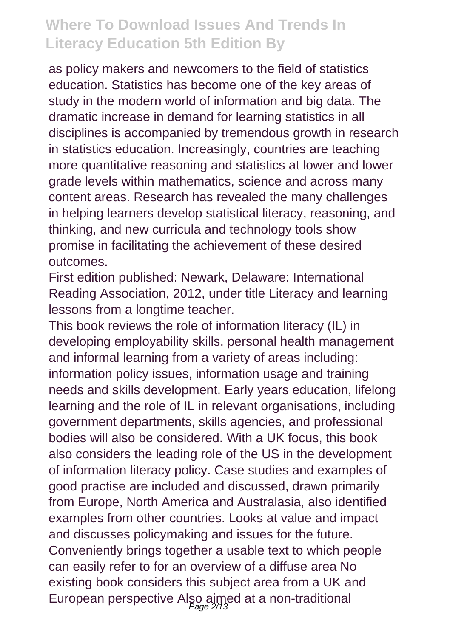as policy makers and newcomers to the field of statistics education. Statistics has become one of the key areas of study in the modern world of information and big data. The dramatic increase in demand for learning statistics in all disciplines is accompanied by tremendous growth in research in statistics education. Increasingly, countries are teaching more quantitative reasoning and statistics at lower and lower grade levels within mathematics, science and across many content areas. Research has revealed the many challenges in helping learners develop statistical literacy, reasoning, and thinking, and new curricula and technology tools show promise in facilitating the achievement of these desired outcomes.

First edition published: Newark, Delaware: International Reading Association, 2012, under title Literacy and learning lessons from a longtime teacher.

This book reviews the role of information literacy (IL) in developing employability skills, personal health management and informal learning from a variety of areas including: information policy issues, information usage and training needs and skills development. Early years education, lifelong learning and the role of IL in relevant organisations, including government departments, skills agencies, and professional bodies will also be considered. With a UK focus, this book also considers the leading role of the US in the development of information literacy policy. Case studies and examples of good practise are included and discussed, drawn primarily from Europe, North America and Australasia, also identified examples from other countries. Looks at value and impact and discusses policymaking and issues for the future. Conveniently brings together a usable text to which people can easily refer to for an overview of a diffuse area No existing book considers this subject area from a UK and European perspective Also aimed at a non-traditional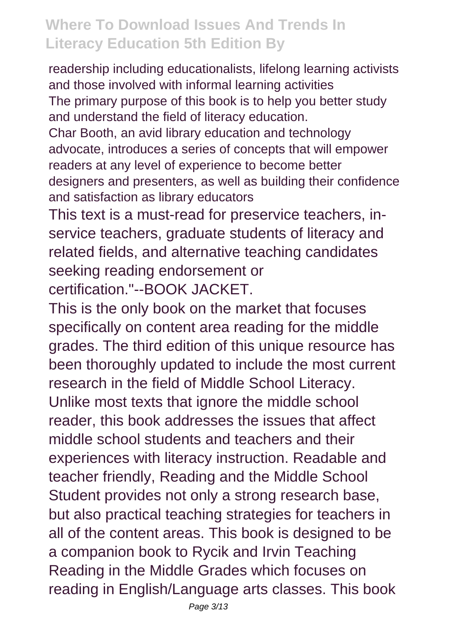readership including educationalists, lifelong learning activists and those involved with informal learning activities The primary purpose of this book is to help you better study and understand the field of literacy education. Char Booth, an avid library education and technology advocate, introduces a series of concepts that will empower readers at any level of experience to become better designers and presenters, as well as building their confidence and satisfaction as library educators

This text is a must-read for preservice teachers, inservice teachers, graduate students of literacy and related fields, and alternative teaching candidates seeking reading endorsement or certification."--BOOK JACKET.

This is the only book on the market that focuses specifically on content area reading for the middle grades. The third edition of this unique resource has been thoroughly updated to include the most current research in the field of Middle School Literacy. Unlike most texts that ignore the middle school reader, this book addresses the issues that affect middle school students and teachers and their experiences with literacy instruction. Readable and teacher friendly, Reading and the Middle School Student provides not only a strong research base, but also practical teaching strategies for teachers in all of the content areas. This book is designed to be a companion book to Rycik and Irvin Teaching Reading in the Middle Grades which focuses on reading in English/Language arts classes. This book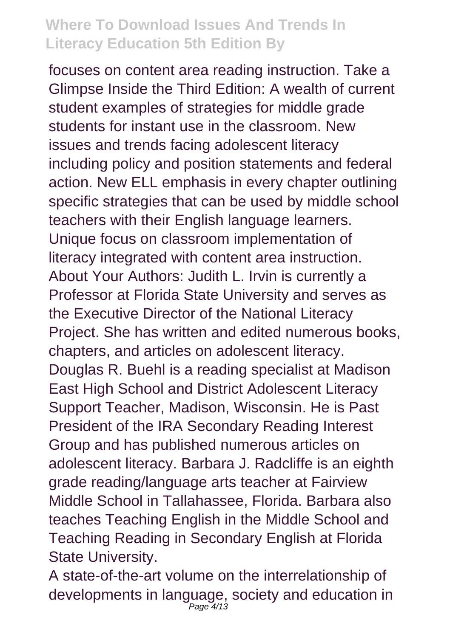focuses on content area reading instruction. Take a Glimpse Inside the Third Edition: A wealth of current student examples of strategies for middle grade students for instant use in the classroom. New issues and trends facing adolescent literacy including policy and position statements and federal action. New ELL emphasis in every chapter outlining specific strategies that can be used by middle school teachers with their English language learners. Unique focus on classroom implementation of literacy integrated with content area instruction. About Your Authors: Judith L. Irvin is currently a Professor at Florida State University and serves as the Executive Director of the National Literacy Project. She has written and edited numerous books, chapters, and articles on adolescent literacy. Douglas R. Buehl is a reading specialist at Madison East High School and District Adolescent Literacy Support Teacher, Madison, Wisconsin. He is Past President of the IRA Secondary Reading Interest Group and has published numerous articles on adolescent literacy. Barbara J. Radcliffe is an eighth grade reading/language arts teacher at Fairview Middle School in Tallahassee, Florida. Barbara also teaches Teaching English in the Middle School and Teaching Reading in Secondary English at Florida State University.

A state-of-the-art volume on the interrelationship of developments in language, society and education in Page 4/13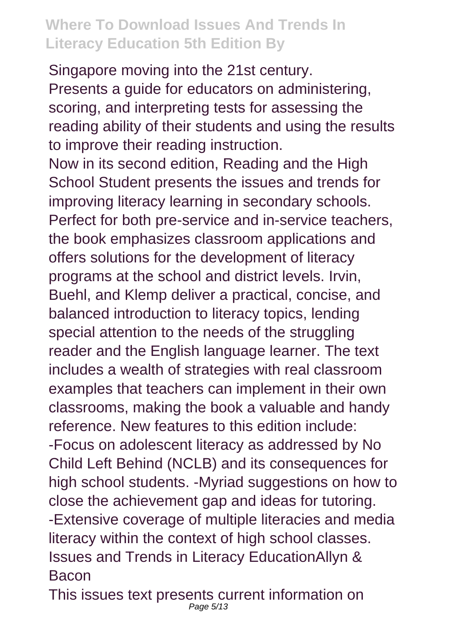Singapore moving into the 21st century. Presents a guide for educators on administering, scoring, and interpreting tests for assessing the reading ability of their students and using the results to improve their reading instruction. Now in its second edition, Reading and the High School Student presents the issues and trends for improving literacy learning in secondary schools. Perfect for both pre-service and in-service teachers, the book emphasizes classroom applications and offers solutions for the development of literacy programs at the school and district levels. Irvin, Buehl, and Klemp deliver a practical, concise, and balanced introduction to literacy topics, lending special attention to the needs of the struggling reader and the English language learner. The text includes a wealth of strategies with real classroom examples that teachers can implement in their own classrooms, making the book a valuable and handy reference. New features to this edition include: -Focus on adolescent literacy as addressed by No Child Left Behind (NCLB) and its consequences for high school students. -Myriad suggestions on how to close the achievement gap and ideas for tutoring. -Extensive coverage of multiple literacies and media literacy within the context of high school classes. Issues and Trends in Literacy EducationAllyn & **Bacon** 

This issues text presents current information on Page 5/13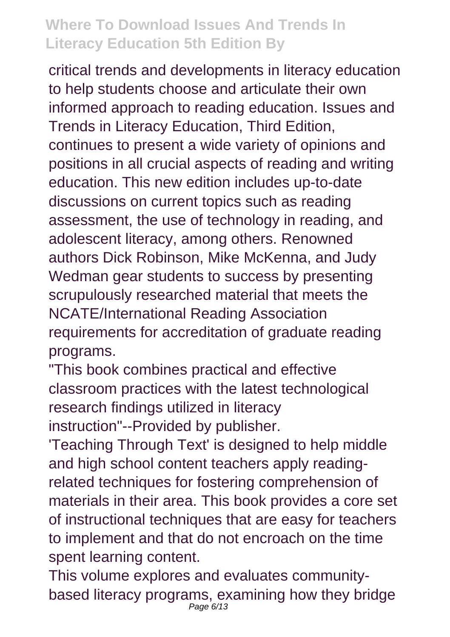critical trends and developments in literacy education to help students choose and articulate their own informed approach to reading education. Issues and Trends in Literacy Education, Third Edition, continues to present a wide variety of opinions and positions in all crucial aspects of reading and writing education. This new edition includes up-to-date discussions on current topics such as reading assessment, the use of technology in reading, and adolescent literacy, among others. Renowned authors Dick Robinson, Mike McKenna, and Judy Wedman gear students to success by presenting scrupulously researched material that meets the NCATE/International Reading Association requirements for accreditation of graduate reading programs.

"This book combines practical and effective classroom practices with the latest technological research findings utilized in literacy instruction"--Provided by publisher.

'Teaching Through Text' is designed to help middle and high school content teachers apply readingrelated techniques for fostering comprehension of materials in their area. This book provides a core set of instructional techniques that are easy for teachers to implement and that do not encroach on the time spent learning content.

This volume explores and evaluates communitybased literacy programs, examining how they bridge Page 6/13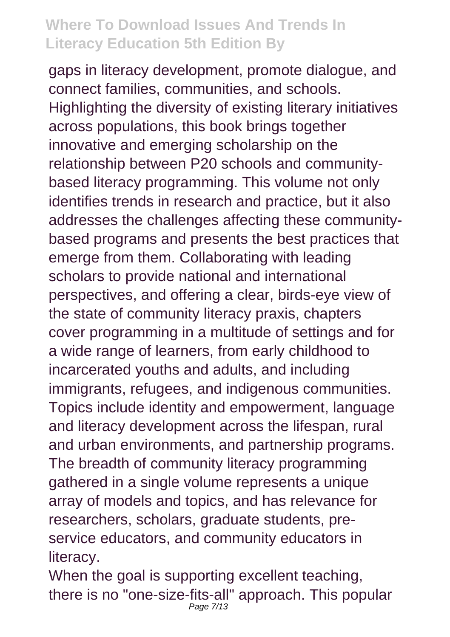gaps in literacy development, promote dialogue, and connect families, communities, and schools. Highlighting the diversity of existing literary initiatives across populations, this book brings together innovative and emerging scholarship on the relationship between P20 schools and communitybased literacy programming. This volume not only identifies trends in research and practice, but it also addresses the challenges affecting these communitybased programs and presents the best practices that emerge from them. Collaborating with leading scholars to provide national and international perspectives, and offering a clear, birds-eye view of the state of community literacy praxis, chapters cover programming in a multitude of settings and for a wide range of learners, from early childhood to incarcerated youths and adults, and including immigrants, refugees, and indigenous communities. Topics include identity and empowerment, language and literacy development across the lifespan, rural and urban environments, and partnership programs. The breadth of community literacy programming gathered in a single volume represents a unique array of models and topics, and has relevance for researchers, scholars, graduate students, preservice educators, and community educators in literacy.

When the goal is supporting excellent teaching, there is no "one-size-fits-all" approach. This popular Page 7/13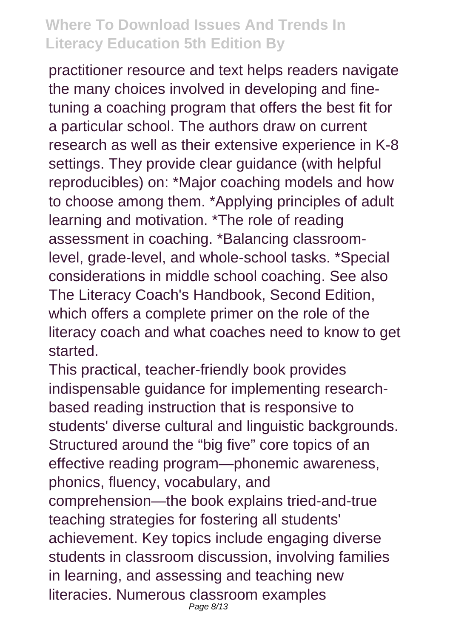practitioner resource and text helps readers navigate the many choices involved in developing and finetuning a coaching program that offers the best fit for a particular school. The authors draw on current research as well as their extensive experience in K-8 settings. They provide clear guidance (with helpful reproducibles) on: \*Major coaching models and how to choose among them. \*Applying principles of adult learning and motivation. \*The role of reading assessment in coaching. \*Balancing classroomlevel, grade-level, and whole-school tasks. \*Special considerations in middle school coaching. See also The Literacy Coach's Handbook, Second Edition, which offers a complete primer on the role of the literacy coach and what coaches need to know to get started.

This practical, teacher-friendly book provides indispensable guidance for implementing researchbased reading instruction that is responsive to students' diverse cultural and linguistic backgrounds. Structured around the "big five" core topics of an effective reading program—phonemic awareness, phonics, fluency, vocabulary, and comprehension—the book explains tried-and-true teaching strategies for fostering all students' achievement. Key topics include engaging diverse students in classroom discussion, involving families in learning, and assessing and teaching new literacies. Numerous classroom examples Page 8/13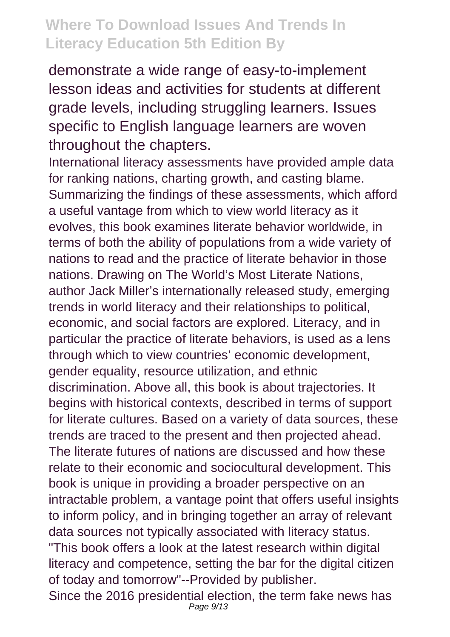demonstrate a wide range of easy-to-implement lesson ideas and activities for students at different grade levels, including struggling learners. Issues specific to English language learners are woven throughout the chapters.

International literacy assessments have provided ample data for ranking nations, charting growth, and casting blame. Summarizing the findings of these assessments, which afford a useful vantage from which to view world literacy as it evolves, this book examines literate behavior worldwide, in terms of both the ability of populations from a wide variety of nations to read and the practice of literate behavior in those nations. Drawing on The World's Most Literate Nations, author Jack Miller's internationally released study, emerging trends in world literacy and their relationships to political, economic, and social factors are explored. Literacy, and in particular the practice of literate behaviors, is used as a lens through which to view countries' economic development, gender equality, resource utilization, and ethnic discrimination. Above all, this book is about trajectories. It begins with historical contexts, described in terms of support for literate cultures. Based on a variety of data sources, these trends are traced to the present and then projected ahead. The literate futures of nations are discussed and how these relate to their economic and sociocultural development. This book is unique in providing a broader perspective on an intractable problem, a vantage point that offers useful insights to inform policy, and in bringing together an array of relevant data sources not typically associated with literacy status. "This book offers a look at the latest research within digital literacy and competence, setting the bar for the digital citizen of today and tomorrow"--Provided by publisher. Since the 2016 presidential election, the term fake news has Page 9/13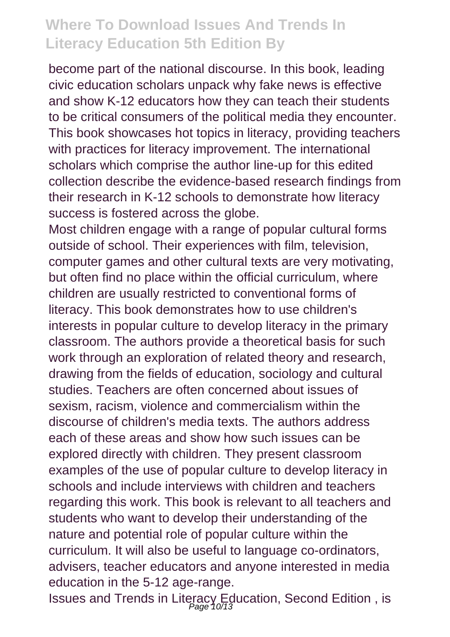become part of the national discourse. In this book, leading civic education scholars unpack why fake news is effective and show K-12 educators how they can teach their students to be critical consumers of the political media they encounter. This book showcases hot topics in literacy, providing teachers with practices for literacy improvement. The international scholars which comprise the author line-up for this edited collection describe the evidence-based research findings from their research in K-12 schools to demonstrate how literacy success is fostered across the globe.

Most children engage with a range of popular cultural forms outside of school. Their experiences with film, television, computer games and other cultural texts are very motivating, but often find no place within the official curriculum, where children are usually restricted to conventional forms of literacy. This book demonstrates how to use children's interests in popular culture to develop literacy in the primary classroom. The authors provide a theoretical basis for such work through an exploration of related theory and research, drawing from the fields of education, sociology and cultural studies. Teachers are often concerned about issues of sexism, racism, violence and commercialism within the discourse of children's media texts. The authors address each of these areas and show how such issues can be explored directly with children. They present classroom examples of the use of popular culture to develop literacy in schools and include interviews with children and teachers regarding this work. This book is relevant to all teachers and students who want to develop their understanding of the nature and potential role of popular culture within the curriculum. It will also be useful to language co-ordinators, advisers, teacher educators and anyone interested in media education in the 5-12 age-range.

Issues and Trends in Literacy Education, Second Edition, is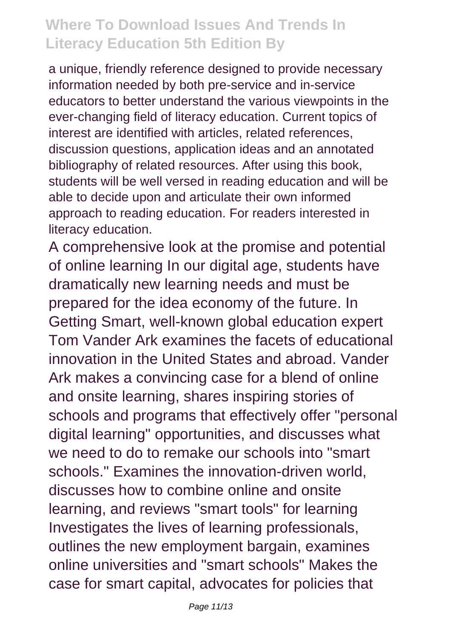a unique, friendly reference designed to provide necessary information needed by both pre-service and in-service educators to better understand the various viewpoints in the ever-changing field of literacy education. Current topics of interest are identified with articles, related references, discussion questions, application ideas and an annotated bibliography of related resources. After using this book, students will be well versed in reading education and will be able to decide upon and articulate their own informed approach to reading education. For readers interested in literacy education.

A comprehensive look at the promise and potential of online learning In our digital age, students have dramatically new learning needs and must be prepared for the idea economy of the future. In Getting Smart, well-known global education expert Tom Vander Ark examines the facets of educational innovation in the United States and abroad. Vander Ark makes a convincing case for a blend of online and onsite learning, shares inspiring stories of schools and programs that effectively offer "personal digital learning" opportunities, and discusses what we need to do to remake our schools into "smart schools." Examines the innovation-driven world, discusses how to combine online and onsite learning, and reviews "smart tools" for learning Investigates the lives of learning professionals, outlines the new employment bargain, examines online universities and "smart schools" Makes the case for smart capital, advocates for policies that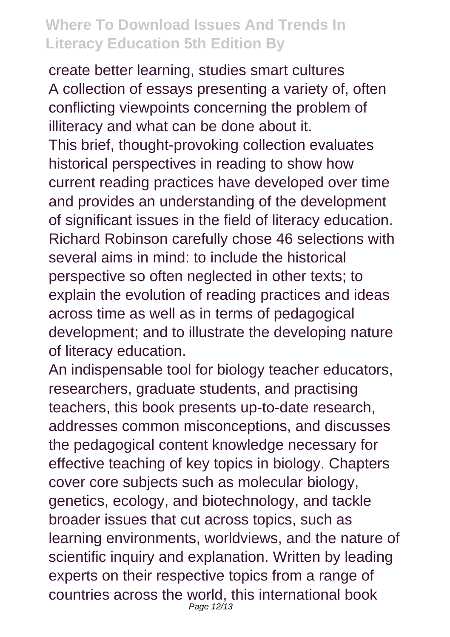create better learning, studies smart cultures A collection of essays presenting a variety of, often conflicting viewpoints concerning the problem of illiteracy and what can be done about it. This brief, thought-provoking collection evaluates historical perspectives in reading to show how current reading practices have developed over time and provides an understanding of the development of significant issues in the field of literacy education. Richard Robinson carefully chose 46 selections with several aims in mind: to include the historical perspective so often neglected in other texts; to explain the evolution of reading practices and ideas across time as well as in terms of pedagogical development; and to illustrate the developing nature of literacy education.

An indispensable tool for biology teacher educators, researchers, graduate students, and practising teachers, this book presents up-to-date research, addresses common misconceptions, and discusses the pedagogical content knowledge necessary for effective teaching of key topics in biology. Chapters cover core subjects such as molecular biology, genetics, ecology, and biotechnology, and tackle broader issues that cut across topics, such as learning environments, worldviews, and the nature of scientific inquiry and explanation. Written by leading experts on their respective topics from a range of countries across the world, this international book Page 12/13